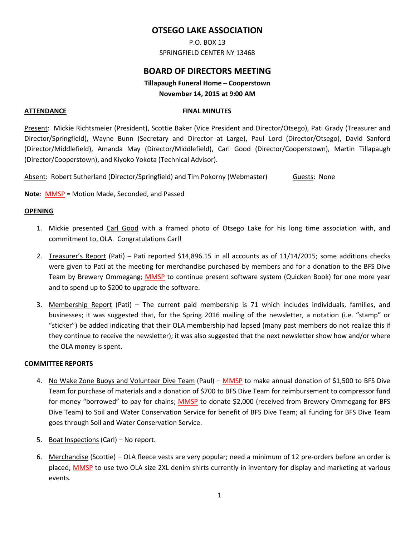# **OTSEGO LAKE ASSOCIATION**

P.O. BOX 13 SPRINGFIELD CENTER NY 13468

# **BOARD OF DIRECTORS MEETING**

## **Tillapaugh Funeral Home – Cooperstown November 14, 2015 at 9:00 AM**

#### **ATTENDANCE** FINAL MINUTES

Present: Mickie Richtsmeier (President), Scottie Baker (Vice President and Director/Otsego), Pati Grady (Treasurer and Director/Springfield), Wayne Bunn (Secretary and Director at Large), Paul Lord (Director/Otsego), David Sanford (Director/Middlefield), Amanda May (Director/Middlefield), Carl Good (Director/Cooperstown), Martin Tillapaugh (Director/Cooperstown), and Kiyoko Yokota (Technical Advisor).

Absent: Robert Sutherland (Director/Springfield) and Tim Pokorny (Webmaster) Guests: None

**Note**: MMSP = Motion Made, Seconded, and Passed

### **OPENING**

- 1. Mickie presented Carl Good with a framed photo of Otsego Lake for his long time association with, and commitment to, OLA. Congratulations Carl!
- 2. Treasurer's Report (Pati) Pati reported \$14,896.15 in all accounts as of 11/14/2015; some additions checks were given to Pati at the meeting for merchandise purchased by members and for a donation to the BFS Dive Team by Brewery Ommegang; MMSP to continue present software system (Quicken Book) for one more year and to spend up to \$200 to upgrade the software.
- 3. Membership Report (Pati) The current paid membership is 71 which includes individuals, families, and businesses; it was suggested that, for the Spring 2016 mailing of the newsletter, a notation (i.e. "stamp" or "sticker") be added indicating that their OLA membership had lapsed (many past members do not realize this if they continue to receive the newsletter); it was also suggested that the next newsletter show how and/or where the OLA money is spent.

### **COMMITTEE REPORTS**

- 4. No Wake Zone Buoys and Volunteer Dive Team (Paul) MMSP to make annual donation of \$1,500 to BFS Dive Team for purchase of materials and a donation of \$700 to BFS Dive Team for reimbursement to compressor fund for money "borrowed" to pay for chains; **MMSP** to donate \$2,000 (received from Brewery Ommegang for BFS Dive Team) to Soil and Water Conservation Service for benefit of BFS Dive Team; all funding for BFS Dive Team goes through Soil and Water Conservation Service.
- 5. Boat Inspections (Carl) No report.
- 6. Merchandise (Scottie) OLA fleece vests are very popular; need a minimum of 12 pre-orders before an order is placed; MMSP to use two OLA size 2XL denim shirts currently in inventory for display and marketing at various events.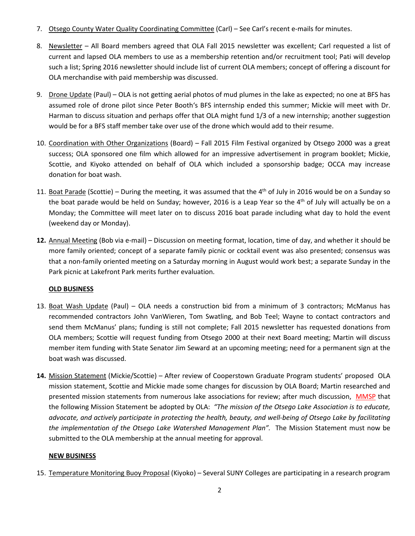- 7. Otsego County Water Quality Coordinating Committee (Carl) See Carl's recent e-mails for minutes.
- 8. Newsletter All Board members agreed that OLA Fall 2015 newsletter was excellent; Carl requested a list of current and lapsed OLA members to use as a membership retention and/or recruitment tool; Pati will develop such a list; Spring 2016 newsletter should include list of current OLA members; concept of offering a discount for OLA merchandise with paid membership was discussed.
- 9. Drone Update (Paul) OLA is not getting aerial photos of mud plumes in the lake as expected; no one at BFS has assumed role of drone pilot since Peter Booth's BFS internship ended this summer; Mickie will meet with Dr. Harman to discuss situation and perhaps offer that OLA might fund 1/3 of a new internship; another suggestion would be for a BFS staff member take over use of the drone which would add to their resume.
- 10. Coordination with Other Organizations (Board) Fall 2015 Film Festival organized by Otsego 2000 was a great success; OLA sponsored one film which allowed for an impressive advertisement in program booklet; Mickie, Scottie, and Kiyoko attended on behalf of OLA which included a sponsorship badge; OCCA may increase donation for boat wash.
- 11. Boat Parade (Scottie) During the meeting, it was assumed that the 4<sup>th</sup> of July in 2016 would be on a Sunday so the boat parade would be held on Sunday; however, 2016 is a Leap Year so the 4<sup>th</sup> of July will actually be on a Monday; the Committee will meet later on to discuss 2016 boat parade including what day to hold the event (weekend day or Monday).
- **12.** Annual Meeting (Bob via e-mail) Discussion on meeting format, location, time of day, and whether it should be more family oriented; concept of a separate family picnic or cocktail event was also presented; consensus was that a non-family oriented meeting on a Saturday morning in August would work best; a separate Sunday in the Park picnic at Lakefront Park merits further evaluation.

## **OLD BUSINESS**

- 13. Boat Wash Update (Paul) OLA needs a construction bid from a minimum of 3 contractors; McManus has recommended contractors John VanWieren, Tom Swatling, and Bob Teel; Wayne to contact contractors and send them McManus' plans; funding is still not complete; Fall 2015 newsletter has requested donations from OLA members; Scottie will request funding from Otsego 2000 at their next Board meeting; Martin will discuss member item funding with State Senator Jim Seward at an upcoming meeting; need for a permanent sign at the boat wash was discussed.
- **14.** Mission Statement (Mickie/Scottie) After review of Cooperstown Graduate Program students' proposed OLA mission statement, Scottie and Mickie made some changes for discussion by OLA Board; Martin researched and presented mission statements from numerous lake associations for review; after much discussion, MMSP that the following Mission Statement be adopted by OLA: *"The mission of the Otsego Lake Association is to educate, advocate, and actively participate in protecting the health, beauty, and well-being of Otsego Lake by facilitating the implementation of the Otsego Lake Watershed Management Plan".* The Mission Statement must now be submitted to the OLA membership at the annual meeting for approval.

## **NEW BUSINESS**

15. Temperature Monitoring Buoy Proposal (Kiyoko) – Several SUNY Colleges are participating in a research program